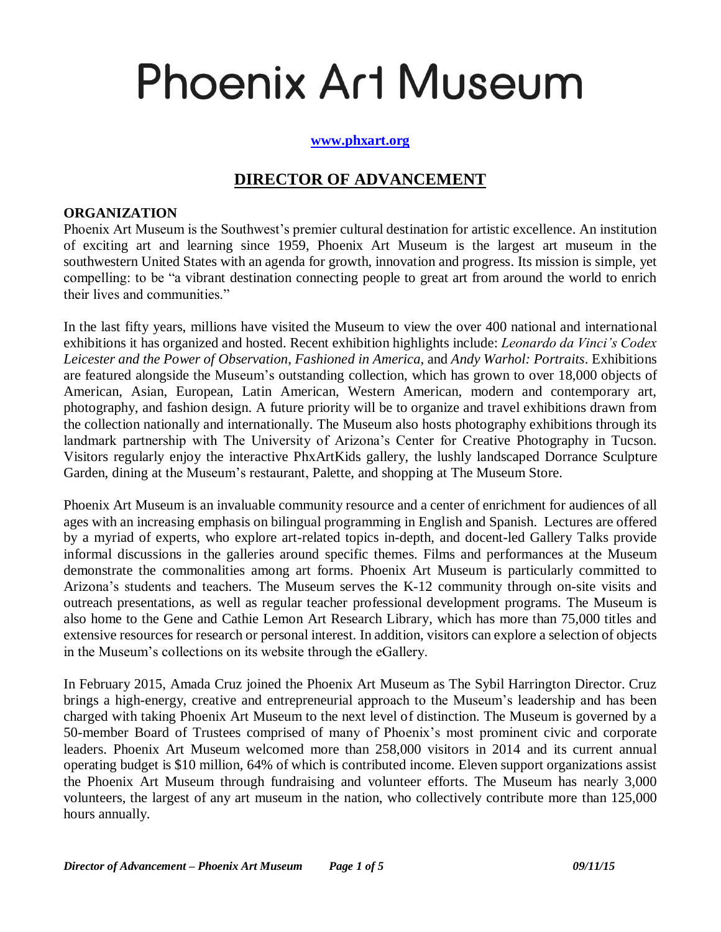# **Phoenix Art Museum**

#### **[www.phxart.org](http://www.phxart.org/)**

# **DIRECTOR OF ADVANCEMENT**

#### **ORGANIZATION**

Phoenix Art Museum is the Southwest's premier cultural destination for artistic excellence. An institution of exciting art and learning since 1959, Phoenix Art Museum is the largest art museum in the southwestern United States with an agenda for growth, innovation and progress. Its mission is simple, yet compelling: to be "a vibrant destination connecting people to great art from around the world to enrich their lives and communities."

In the last fifty years, millions have visited the Museum to view the over 400 national and international exhibitions it has organized and hosted. Recent exhibition highlights include: *Leonardo da Vinci's Codex Leicester and the Power of Observation*, *Fashioned in America*, and *Andy Warhol: Portraits*. Exhibitions are featured alongside the Museum's outstanding collection, which has grown to over 18,000 objects of American, Asian, European, Latin American, Western American, modern and contemporary art, photography, and fashion design. A future priority will be to organize and travel exhibitions drawn from the collection nationally and internationally. The Museum also hosts photography exhibitions through its landmark partnership with The University of Arizona's Center for Creative Photography in Tucson. Visitors regularly enjoy the interactive PhxArtKids gallery, the lushly landscaped Dorrance Sculpture Garden, dining at the Museum's restaurant, Palette, and shopping at The Museum Store.

Phoenix Art Museum is an invaluable community resource and a center of enrichment for audiences of all ages with an increasing emphasis on bilingual programming in English and Spanish. [Lectures](http://www.phxart.org/events/lecturestalks) are offered by a myriad of experts, who explore art-related topics in-depth, and docent-led Gallery [Talks](http://www.phxart.org/events/lecturestalks) provide informal discussions in the galleries around specific themes. [Films](http://www.phxart.org/events/film) and performances at the Museum demonstrate the commonalities among art forms. Phoenix Art Museum is particularly committed to Arizona's students and teachers. The Museum serves the K-12 community through on-site visits and outreach presentations, as well as regular teacher professional development programs. The Museum is also home to the Gene and Cathie Lemon Art Research Library, which has more than 75,000 titles and extensive resources for research or personal interest. In addition, visitors can explore a selection of objects in the Museum's collections on its website through the eGallery.

In February 2015, Amada Cruz joined the Phoenix Art Museum as The Sybil Harrington Director. Cruz brings a high-energy, creative and entrepreneurial approach to the Museum's leadership and has been charged with taking Phoenix Art Museum to the next level of distinction. The Museum is governed by a 50-member Board of Trustees comprised of many of Phoenix's most prominent civic and corporate leaders. Phoenix Art Museum welcomed more than 258,000 visitors in 2014 and its current annual operating budget is \$10 million, 64% of which is contributed income. Eleven support organizations assist the Phoenix Art Museum through fundraising and volunteer efforts. The Museum has nearly 3,000 volunteers, the largest of any art museum in the nation, who collectively contribute more than 125,000 hours annually.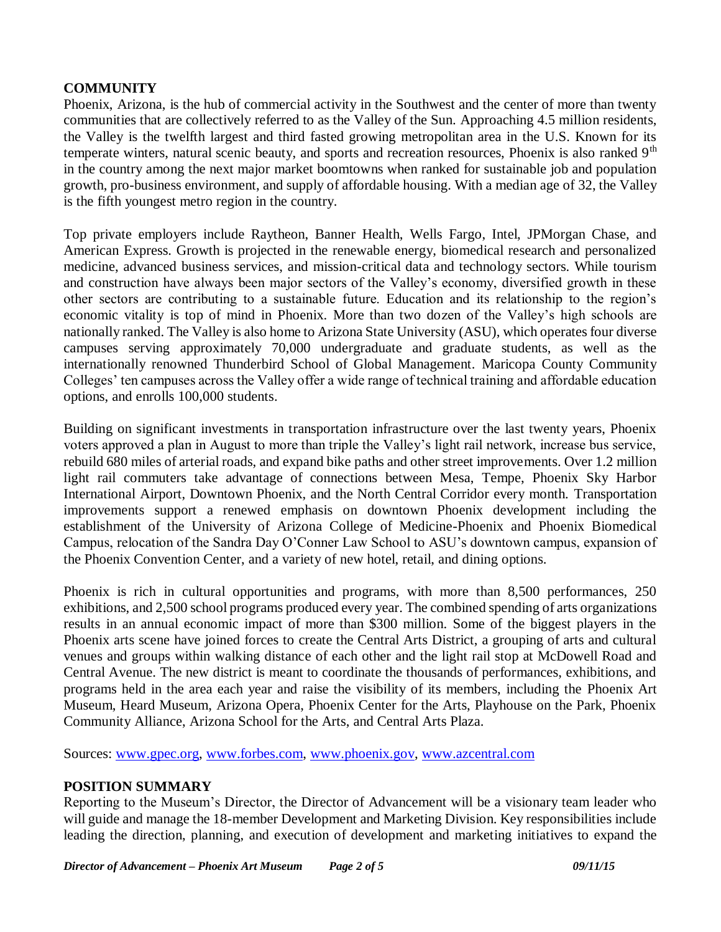# **COMMUNITY**

Phoenix, Arizona, is the hub of commercial activity in the Southwest and the center of more than twenty communities that are collectively referred to as the Valley of the Sun. Approaching 4.5 million residents, the Valley is the twelfth largest and third fasted growing metropolitan area in the U.S. Known for its temperate winters, natural scenic beauty, and sports and recreation resources, Phoenix is also ranked 9<sup>th</sup> in the country among the next major market boomtowns when ranked for sustainable job and population growth, pro-business environment, and supply of affordable housing. With a median age of 32, the Valley is the fifth youngest metro region in the country.

Top private employers include Raytheon, Banner Health, Wells Fargo, Intel, JPMorgan Chase, and American Express. Growth is projected in the renewable energy, biomedical research and personalized medicine, advanced business services, and mission-critical data and technology sectors. While tourism and construction have always been major sectors of the Valley's economy, diversified growth in these other sectors are contributing to a sustainable future. Education and its relationship to the region's economic vitality is top of mind in Phoenix. More than two dozen of the Valley's high schools are nationally ranked. The Valley is also home to Arizona State University (ASU), which operates four diverse campuses serving approximately 70,000 undergraduate and graduate students, as well as the internationally renowned Thunderbird School of Global Management. Maricopa County Community Colleges' ten campuses across the Valley offer a wide range of technical training and affordable education options, and enrolls 100,000 students.

Building on significant investments in transportation infrastructure over the last twenty years, Phoenix voters approved a plan in August to more than triple the Valley's light rail network, increase bus service, rebuild 680 miles of arterial roads, and expand bike paths and other street improvements. Over 1.2 million light rail commuters take advantage of connections between Mesa, Tempe, Phoenix Sky Harbor International Airport, Downtown Phoenix, and the North Central Corridor every month. Transportation improvements support a renewed emphasis on downtown Phoenix development including the establishment of the University of Arizona College of Medicine-Phoenix and Phoenix Biomedical Campus, relocation of the Sandra Day O'Conner Law School to ASU's downtown campus, expansion of the Phoenix Convention Center, and a variety of new hotel, retail, and dining options.

Phoenix is rich in cultural opportunities and programs, with more than 8,500 performances, 250 exhibitions, and 2,500 school programs produced every year. The combined spending of arts organizations results in an annual economic impact of more than \$300 million. Some of the biggest players in the Phoenix arts scene have joined forces to create the Central Arts District, a grouping of arts and cultural venues and groups within walking distance of each other and the light rail stop at McDowell Road and Central Avenue. The new district is meant to coordinate the thousands of performances, exhibitions, and programs held in the area each year and raise the visibility of its members, including the Phoenix Art Museum, Heard Museum, Arizona Opera, Phoenix Center for the Arts, Playhouse on the Park, Phoenix Community Alliance, Arizona School for the Arts, and Central Arts Plaza.

Sources: [www.gpec.org,](http://www.gpec.org/) [www.forbes.com,](http://www.forbes.com/) [www.phoenix.gov,](http://www.phoenix.gov/) [www.azcentral.com](http://www.azcentral.com/)

# **POSITION SUMMARY**

Reporting to the Museum's Director, the Director of Advancement will be a visionary team leader who will guide and manage the 18-member Development and Marketing Division. Key responsibilities include leading the direction, planning, and execution of development and marketing initiatives to expand the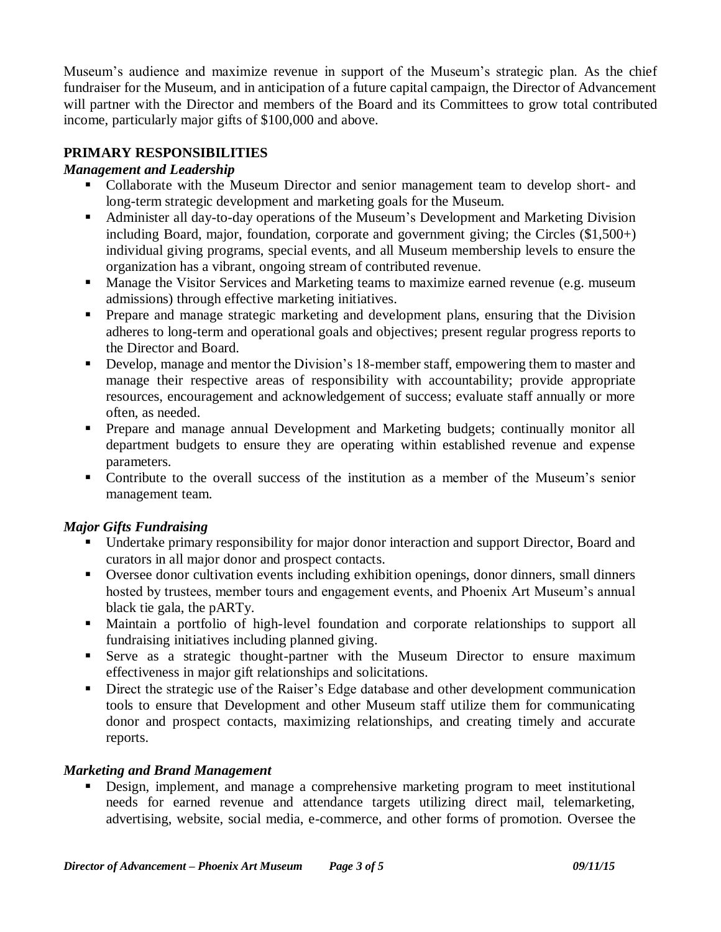Museum's audience and maximize revenue in support of the Museum's strategic plan. As the chief fundraiser for the Museum, and in anticipation of a future capital campaign, the Director of Advancement will partner with the Director and members of the Board and its Committees to grow total contributed income, particularly major gifts of \$100,000 and above.

# **PRIMARY RESPONSIBILITIES**

# *Management and Leadership*

- Collaborate with the Museum Director and senior management team to develop short- and long-term strategic development and marketing goals for the Museum.
- Administer all day-to-day operations of the Museum's Development and Marketing Division including Board, major, foundation, corporate and government giving; the Circles (\$1,500+) individual giving programs, special events, and all Museum membership levels to ensure the organization has a vibrant, ongoing stream of contributed revenue.
- Manage the Visitor Services and Marketing teams to maximize earned revenue (e.g. museum admissions) through effective marketing initiatives.
- **Prepare and manage strategic marketing and development plans, ensuring that the Division** adheres to long-term and operational goals and objectives; present regular progress reports to the Director and Board.
- Develop, manage and mentor the Division's 18-member staff, empowering them to master and manage their respective areas of responsibility with accountability; provide appropriate resources, encouragement and acknowledgement of success; evaluate staff annually or more often, as needed.
- Prepare and manage annual Development and Marketing budgets; continually monitor all department budgets to ensure they are operating within established revenue and expense parameters.
- Contribute to the overall success of the institution as a member of the Museum's senior management team.

# *Major Gifts Fundraising*

- Undertake primary responsibility for major donor interaction and support Director, Board and curators in all major donor and prospect contacts.
- Oversee donor cultivation events including exhibition openings, donor dinners, small dinners hosted by trustees, member tours and engagement events, and Phoenix Art Museum's annual black tie gala, the pARTy.
- Maintain a portfolio of high-level foundation and corporate relationships to support all fundraising initiatives including planned giving.
- Serve as a strategic thought-partner with the Museum Director to ensure maximum effectiveness in major gift relationships and solicitations.
- Direct the strategic use of the Raiser's Edge database and other development communication tools to ensure that Development and other Museum staff utilize them for communicating donor and prospect contacts, maximizing relationships, and creating timely and accurate reports.

# *Marketing and Brand Management*

 Design, implement, and manage a comprehensive marketing program to meet institutional needs for earned revenue and attendance targets utilizing direct mail, telemarketing, advertising, website, social media, e-commerce, and other forms of promotion. Oversee the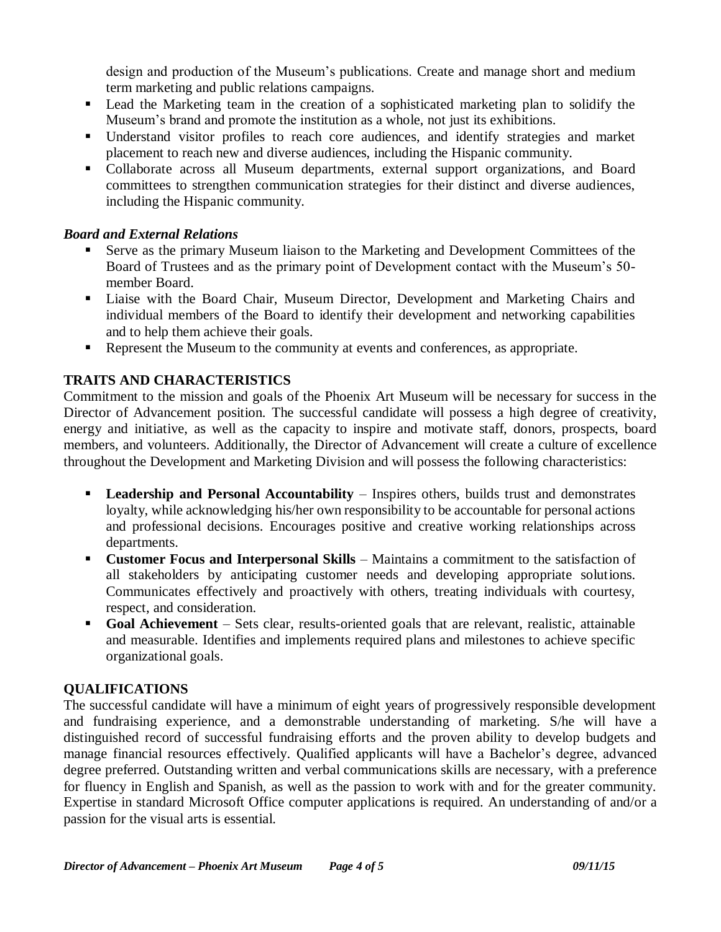design and production of the Museum's publications. Create and manage short and medium term marketing and public relations campaigns.

- Lead the Marketing team in the creation of a sophisticated marketing plan to solidify the Museum's brand and promote the institution as a whole, not just its exhibitions.
- Understand visitor profiles to reach core audiences, and identify strategies and market placement to reach new and diverse audiences, including the Hispanic community.
- Collaborate across all Museum departments, external support organizations, and Board committees to strengthen communication strategies for their distinct and diverse audiences, including the Hispanic community.

# *Board and External Relations*

- Serve as the primary Museum liaison to the Marketing and Development Committees of the Board of Trustees and as the primary point of Development contact with the Museum's 50 member Board.
- Liaise with the Board Chair, Museum Director, Development and Marketing Chairs and individual members of the Board to identify their development and networking capabilities and to help them achieve their goals.
- Represent the Museum to the community at events and conferences, as appropriate.

# **TRAITS AND CHARACTERISTICS**

Commitment to the mission and goals of the Phoenix Art Museum will be necessary for success in the Director of Advancement position. The successful candidate will possess a high degree of creativity, energy and initiative, as well as the capacity to inspire and motivate staff, donors, prospects, board members, and volunteers. Additionally, the Director of Advancement will create a culture of excellence throughout the Development and Marketing Division and will possess the following characteristics:

- **Leadership and Personal Accountability** Inspires others, builds trust and demonstrates loyalty, while acknowledging his/her own responsibility to be accountable for personal actions and professional decisions. Encourages positive and creative working relationships across departments.
- **Customer Focus and Interpersonal Skills** Maintains a commitment to the satisfaction of all stakeholders by anticipating customer needs and developing appropriate solutions. Communicates effectively and proactively with others, treating individuals with courtesy, respect, and consideration.
- **Goal Achievement** Sets clear, results-oriented goals that are relevant, realistic, attainable and measurable. Identifies and implements required plans and milestones to achieve specific organizational goals.

# **QUALIFICATIONS**

The successful candidate will have a minimum of eight years of progressively responsible development and fundraising experience, and a demonstrable understanding of marketing. S/he will have a distinguished record of successful fundraising efforts and the proven ability to develop budgets and manage financial resources effectively. Qualified applicants will have a Bachelor's degree, advanced degree preferred. Outstanding written and verbal communications skills are necessary, with a preference for fluency in English and Spanish, as well as the passion to work with and for the greater community. Expertise in standard Microsoft Office computer applications is required. An understanding of and/or a passion for the visual arts is essential.